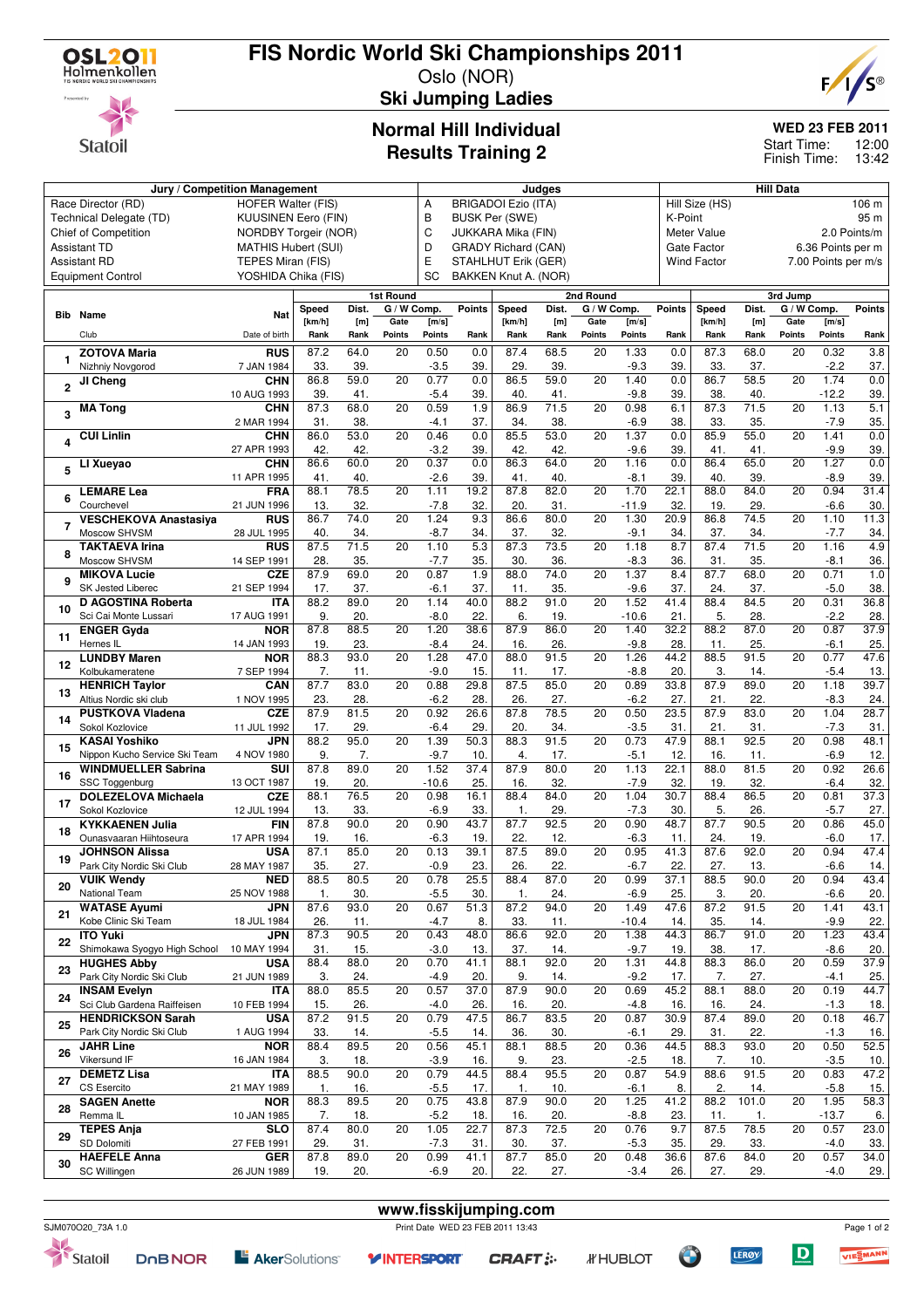

**Statoil** 

## **FIS Nordic World Ski Championships 2011**

Oslo (NOR) **Ski Jumping Ladies**



**WED 23 FEB 2011**

12:00 Finish Time: 13:42 Start Time:

# **Normal Hill Individual**

| <b>Results Training 2</b> |  |
|---------------------------|--|
|---------------------------|--|

| Jury / Competition Management |                                      |                            |             |             |                  |         | Judges        |                            |             |                 |               |               |                    | Hill Data         |                 |                     |                  |  |
|-------------------------------|--------------------------------------|----------------------------|-------------|-------------|------------------|---------|---------------|----------------------------|-------------|-----------------|---------------|---------------|--------------------|-------------------|-----------------|---------------------|------------------|--|
|                               | Race Director (RD)                   | <b>HOFER Walter (FIS)</b>  |             |             |                  | А       |               | <b>BRIGADOI Ezio (ITA)</b> |             |                 |               |               | Hill Size (HS)     |                   |                 |                     | 106 m            |  |
|                               | Technical Delegate (TD)              | <b>KUUSINEN Eero (FIN)</b> |             |             |                  | В       |               | <b>BUSK Per (SWE)</b>      |             |                 |               | K-Point       |                    |                   |                 |                     | 95 m             |  |
|                               | Chief of Competition                 | NORDBY Torgeir (NOR)       |             |             |                  | C       |               | JUKKARA Mika (FIN)         |             |                 |               |               | Meter Value        |                   |                 |                     | 2.0 Points/m     |  |
|                               |                                      |                            |             |             |                  |         |               |                            |             |                 |               |               |                    |                   |                 |                     |                  |  |
|                               | <b>Assistant TD</b>                  | <b>MATHIS Hubert (SUI)</b> |             |             |                  | D       |               | <b>GRADY Richard (CAN)</b> |             |                 |               |               | Gate Factor        |                   |                 | 6.36 Points per m   |                  |  |
|                               | <b>Assistant RD</b>                  | TEPES Miran (FIS)          |             |             |                  | Е       |               | STAHLHUT Erik (GER)        |             |                 |               |               | <b>Wind Factor</b> |                   |                 | 7.00 Points per m/s |                  |  |
|                               | <b>Equipment Control</b>             | YOSHIDA Chika (FIS)        |             |             |                  | SC      |               | BAKKEN Knut A. (NOR)       |             |                 |               |               |                    |                   |                 |                     |                  |  |
|                               |                                      |                            |             |             | <b>1st Round</b> |         |               |                            |             | 2nd Round       |               |               |                    |                   | 3rd Jump        |                     |                  |  |
|                               |                                      |                            |             |             |                  |         |               |                            |             |                 |               |               |                    |                   |                 |                     |                  |  |
| Bib                           | Name                                 | Nat                        | Speed       | Dist.       | G / W Comp.      |         | <b>Points</b> | Speed                      | Dist.       | G / W Comp.     |               | <b>Points</b> | Speed              | Dist.             | G / W Comp.     |                     | Points           |  |
|                               |                                      |                            | [km/h]      | [m]         | Gate             | [m/s]   |               | [km/h]                     | [m]         | Gate            | [m/s]         |               | [km/h]             | [m]               | Gate            | [m/s]               |                  |  |
|                               | Club                                 | Date of birth              | Rank        | Rank        | Points           | Points  | Rank          | Rank                       | Rank        | <b>Points</b>   | <b>Points</b> | Rank          | Rank               | Rank              | Points          | Points              | Rank             |  |
|                               | <b>ZOTOVA Maria</b>                  | <b>RUS</b>                 | 87.2        | 64.0        | 20               | 0.50    | 0.0           | 87.4                       | 68.5        | 20              | 1.33          | 0.0           | 87.3               | 68.0              | 20              | 0.32                | $\overline{3.8}$ |  |
| 1                             | Nizhniy Novgorod                     | 7 JAN 1984                 | 33.         | 39.         |                  | $-3.5$  | 39.           | 29.                        | 39.         |                 | $-9.3$        | 39.           | 33.                | 37.               |                 | $-2.2$              | 37.              |  |
|                               | JI Cheng                             | <b>CHN</b>                 | 86.8        | 59.0        | 20               | 0.77    | 0.0           | 86.5                       | 59.0        | 20              | 1.40          | 0.0           | 86.7               | 58.5              | 20              | 1.74                | 0.0              |  |
| $\overline{2}$                |                                      | 10 AUG 1993                | 39.         | 41.         |                  | $-5.4$  | 39.           | 40.                        | 41.         |                 | $-9.8$        | 39.           | 38.                | 40.               |                 | $-12.2$             | 39.              |  |
|                               | <b>MA Tong</b>                       | <b>CHN</b>                 | 87.3        | 68.0        | 20               | 0.59    | 1.9           | 86.9                       | 71.5        | 20              | 0.98          | 6.1           | 87.3               | 71.5              | 20              | 1.13                | 5.1              |  |
| 3                             |                                      | 2 MAR 1994                 | 31.         | 38.         |                  | -4.1    | 37.           | 34.                        | 38.         |                 | $-6.9$        | 38.           | 33.                | 35.               |                 | $-7.9$              | 35.              |  |
|                               | <b>CUI Linlin</b>                    | <b>CHN</b>                 | 86.0        | 53.0        | 20               | 0.46    | 0.0           | 85.5                       | 53.0        | 20              | 1.37          | 0.0           | 85.9               | 55.0              | 20              | 1.41                | 0.0              |  |
| 4                             |                                      | 27 APR 1993                | 42.         | 42.         |                  | $-3.2$  | 39.           | 42.                        | 42.         |                 | -9.6          | 39.           | 41.                | 41.               |                 | $-9.9$              | 39.              |  |
|                               | LI Xueyao                            | <b>CHN</b>                 | 86.6        | 60.0        | 20               | 0.37    | 0.0           | 86.3                       | 64.0        | 20              | 1.16          | 0.0           | 86.4               | 65.0              | $\overline{20}$ | 1.27                | 0.0              |  |
| 5                             |                                      | 11 APR 1995                | 41.         | 40.         |                  | $-2.6$  | 39.           | 41.                        | 40          |                 | -8.1          | 39.           | 40                 | 39.               |                 | $-8.9$              | 39.              |  |
|                               | <b>LEMARE Lea</b>                    | <b>FRA</b>                 | 88.1        | 78.5        | 20               | 1.11    | 19.2          | 87.8                       | 82.0        | 20              | 1.70          | 22.1          | 88.0               | 84.0              | 20              | 0.94                | 31.4             |  |
| 6                             | Courchevel                           | 21 JUN 1996                | 13.         | 32.         |                  | $-7.8$  | 32.           | 20.                        | 31.         |                 | -11.9         | 32.           | 19.                | 29.               |                 | $-6.6$              | 30.              |  |
|                               | <b>VESCHEKOVA Anastasiya</b>         | <b>RUS</b>                 | 86.7        | 74.0        | 20               | 1.24    | 9.3           | 86.6                       | 80.0        | 20              | 1.30          | 20.9          | 86.8               | $\overline{74.5}$ | 20              | 1.10                | 11.3             |  |
| 7                             | Moscow SHVSM                         |                            | 40.         | 34.         |                  |         |               | 37.                        | 32.         |                 |               | 34.           |                    |                   |                 |                     |                  |  |
|                               |                                      | 28 JUL 1995                |             |             |                  | $-8.7$  | 34.           |                            |             |                 | $-9.1$        |               | 37.                | 34.               |                 | $-7.7$              | 34.              |  |
| 8                             | <b>TAKTAEVA Irina</b>                | <b>RUS</b>                 | 87.5        | 71.5        | 20               | 1.10    | 5.3           | 87.3                       | 73.5        | 20              | 1.18          | 8.7           | 87.4               | 71.5              | 20              | 1.16                | 4.9              |  |
|                               | Moscow SHVSM                         | 14 SEP 1991                | 28.         | 35.         |                  | $-7.7$  | 35.           | 30.                        | 36.         |                 | -8.3          | 36.           | 31                 | 35.               |                 | $-8.1$              | 36.              |  |
| 9                             | <b>MIKOVA Lucie</b>                  | <b>CZE</b>                 | 87.9        | 69.0        | 20               | 0.87    | 1.9           | 88.0                       | 74.0        | 20              | 1.37          | 8.4           | 87.7               | 68.0              | 20              | 0.71                | 1.0              |  |
|                               | SK Jested Liberec                    | 21 SEP 1994                | 17.         | 37.         |                  | $-6.1$  | 37.           | 11.                        | 35.         |                 | $-9.6$        | 37.           | 24.                | 37.               |                 | $-5.0$              | 38.              |  |
| 10                            | D AGOSTINA Roberta                   | <b>ITA</b>                 | 88.2        | 89.0        | 20               | 1.14    | 40.0          | 88.2                       | 91.0        | 20              | 1.52          | 41.4          | 88.4               | 84.5              | 20              | 0.31                | 36.8             |  |
|                               | Sci Cai Monte Lussari                | 17 AUG 1991                | 9.          | 20.         |                  | $-8.0$  | 22.           | 6.                         | 19.         |                 | -10.6         | 21            | 5.                 | 28.               |                 | $-2.2$              | 28.              |  |
| 11                            | <b>ENGER Gyda</b>                    | <b>NOR</b>                 | 87.8        | 88.5        | 20               | 1.20    | 38.6          | 87.9                       | 86.0        | 20              | 1.40          | 32.2          | 88.2               | 87.0              | $\overline{20}$ | 0.87                | 37.9             |  |
|                               | Hernes IL                            | 14 JAN 1993                | 19.         | 23.         |                  | $-8.4$  | 24.           | 16.                        | 26.         |                 | $-9.8$        | 28.           | 11.                | 25.               |                 | $-6.1$              | 25.              |  |
| 12                            | <b>LUNDBY Maren</b>                  | <b>NOR</b>                 | 88.3        | 93.0        | $\overline{20}$  | 1.28    | 47.0          | 88.0                       | 91.5        | $\overline{20}$ | 1.26          | 44.2          | 88.5               | 91.5              | $\overline{20}$ | 0.77                | 47.6             |  |
|                               | Kolbukameratene                      | 7 SEP 1994                 | 7.          | 11.         |                  | $-9.0$  | 15.           | 11.                        | 17.         |                 | $-8.8$        | 20.           | 3.                 | 14.               |                 | $-5.4$              | 13.              |  |
| 13                            | <b>HENRICH Taylor</b>                | CAN                        | 87.7        | 83.0        | 20               | 0.88    | 29.8          | 87.5                       | 85.0        | 20              | 0.89          | 33.8          | 87.9               | 89.0              | 20              | 1.18                | 39.7             |  |
|                               | Altius Nordic ski club               | 1 NOV 1995                 | 23.         | 28.         |                  | $-6.2$  | 28.           | 26.                        | 27.         |                 | $-6.2$        | 27.           | 21.                | 22.               |                 | $-8.3$              | 24.              |  |
|                               | <b>PUSTKOVA Vladena</b>              | CZE                        | 87.9        | 81.5        | 20               | 0.92    | 26.6          | 87.8                       | 78.5        | 20              | 0.50          | 23.5          | 87.9               | 83.0              | 20              | 1.04                | 28.7             |  |
| 14                            | Sokol Kozlovice                      | 11 JUL 1992                | 17.         | 29.         |                  | $-6.4$  | 29.           | 20.                        | 34.         |                 | $-3.5$        | 31            | 21.                | 31.               |                 | $-7.3$              | 31.              |  |
|                               | <b>KASAI Yoshiko</b>                 | <b>JPN</b>                 | 88.2        | 95.0        | 20               | 1.39    | 50.3          | 88.3                       | 91.5        | 20              | 0.73          | 47.9          | 88.1               | 92.5              | 20              | 0.98                | 48.1             |  |
| 15                            | Nippon Kucho Service Ski Team        | 4 NOV 1980                 | 9.          | 7.          |                  | $-9.7$  | 10.           | 4.                         | 17.         |                 | -5.1          | 12.           | 16.                | 11.               |                 | $-6.9$              | 12.              |  |
|                               | <b>WINDMUELLER Sabrina</b>           | SUI                        | 87.8        | 89.0        | 20               | 1.52    | 37.4          | 87.9                       | 80.0        | 20              | 1.13          | 22.1          | 88.0               | 81.5              | 20              | 0.92                | 26.6             |  |
| 16                            | SSC Toggenburg                       | 13 OCT 1987                | 19.         | 20.         |                  | $-10.6$ | 25.           | 16.                        | 32.         |                 | $-7.9$        | 32.           | 19.                | 32.               |                 | $-6.4$              | 32.              |  |
|                               | <b>DOLEZELOVA Michaela</b>           | <b>CZE</b>                 | 88.1        | 76.5        | $\overline{20}$  | 0.98    | 16.1          | 88.4                       | 84.0        | $\overline{20}$ | 1.04          | 30.7          | 88.4               | 86.5              | $\overline{20}$ | 0.81                | 37.3             |  |
| 17                            | Sokol Kozlovice                      | 12 JUL 1994                | 13.         | 33.         |                  | $-6.9$  | 33.           | 1.                         | 29.         |                 | $-7.3$        | 30.           | 5.                 | 26.               |                 | $-5.7$              | 27.              |  |
|                               | <b>KYKKAENEN Julia</b>               | <b>FIN</b>                 | 87.8        | 90.0        | 20               | 0.90    | 43.7          | 87.7                       | 92.5        | 20              | 0.90          | 48.7          | 87.7               | 90.5              | 20              | 0.86                | 45.0             |  |
| 18                            | Ounasvaaran Hiihtoseura              | 17 APR 1994                | 19.         | 16.         |                  | $-6.3$  | 19.           | 22.                        | 12.         |                 | $-6.3$        | 11.           | 24.                | 19.               |                 | $-6.0$              | 17.              |  |
|                               | <b>JOHNSON Alissa</b>                | <b>USA</b>                 | 87.1        | 85.0        | 20               | 0.13    | 39.1          | 87.5                       | 89.0        | 20              | 0.95          | 41.3          | 87.6               | 92.0              | 20              | 0.94                | 47.4             |  |
| 19                            | Park City Nordic Ski Club            | 28 MAY 1987                | 35.         | 27.         |                  | $-0.9$  | 23.           | 26.                        | 22.         |                 | $-6.7$        | 22.           | 27.                | 13.               |                 | $-6.6$              | 14.              |  |
|                               | <b>VUIK Wendv</b>                    | <b>NED</b>                 | 88.5        | 80.5        | 20               | 0.78    | 25.5          | 88.4                       | 87.0        | $\overline{20}$ | 0.99          | 37.1          | 88.5               | 90.0              | $\overline{20}$ | 0.94                | 43.4             |  |
| 20                            |                                      | 25 NOV 1988                | 1.          | 30.         |                  | $-5.5$  | 30.           | $\mathbf{1}$ .             | 24.         |                 | $-6.9$        | 25.           | 3.                 | 20.               |                 | $-6.6$              | 20.              |  |
|                               | National Team<br><b>WATASE Ayumi</b> | <b>JPN</b>                 | 87.6        | 93.0        | 20               | 0.67    | 51.3          | 87.2                       | 94.0        | 20              | 1.49          | 47.6          | 87.2               | 91.5              | 20              | 1.41                | 43.1             |  |
| 21                            | Kobe Clinic Ski Team                 | 18 JUL 1984                |             |             |                  |         |               |                            |             |                 |               |               |                    |                   |                 | $-9.9$              |                  |  |
|                               |                                      |                            | 26.<br>87.3 | 11.<br>90.5 | $\overline{20}$  | $-4.7$  | 8.<br>48.0    | 33.                        | 11.<br>92.0 | 20              | $-10.4$       | 14.           | 35.<br>86.7        | 14.<br>91.0       | $\overline{20}$ | 1.23                | 22.<br>43.4      |  |
| 22                            | <b>ITO Yuki</b>                      | <b>JPN</b>                 |             |             |                  | 0.43    |               | 86.6                       |             |                 | 1.38          | 44.3          |                    |                   |                 |                     |                  |  |
|                               | Shimokawa Syogyo High School         | 10 MAY 1994                | 31.         | 15.         |                  | $-3.0$  | 13.           | 37.                        | 14.         |                 | $-9.7$        | 19.           | 38.                | 17.               |                 | $-8.6$              | 20.              |  |
| 23                            | <b>HUGHES Abby</b>                   | USA                        | 88.4        | 88.0        | 20               | 0.70    | 41.1          | 88.1                       | 92.0        | $\overline{20}$ | 1.31          | 44.8          | 88.3               | 86.0              | $\overline{20}$ | 0.59                | 37.9             |  |
|                               | Park City Nordic Ski Club            | 21 JUN 1989                | 3.          | 24.         |                  | $-4.9$  | 20.           | 9.                         | 14.         |                 | $-9.2$        | 17.           | 7.                 | 27.               |                 | $-4.1$              | 25.              |  |
| 24                            | <b>INSAM Evelyn</b>                  | <b>ITA</b>                 | 88.0        | 85.5        | 20               | 0.57    | 37.0          | 87.9                       | 90.0        | 20              | 0.69          | 45.2          | 88.1               | 88.0              | 20              | 0.19                | 44.7             |  |
|                               | Sci Club Gardena Raiffeisen          | 10 FEB 1994                | 15.         | 26.         |                  | $-4.0$  | 26.           | 16.                        | 20.         |                 | $-4.8$        | 16.           | 16.                | 24.               |                 | $-1.3$              | 18.              |  |
| 25                            | <b>HENDRICKSON Sarah</b>             | USA                        | 87.2        | 91.5        | 20               | 0.79    | 47.5          | 86.7                       | 83.5        | 20              | 0.87          | 30.9          | 87.4               | 89.0              | 20              | 0.18                | 46.7             |  |
|                               | Park City Nordic Ski Club            | 1 AUG 1994                 | 33.         | 14.         |                  | $-5.5$  | 14.           | 36.                        | 30.         |                 | $-6.1$        | 29.           | 31.                | 22.               |                 | $-1.3$              | 16.              |  |
| 26                            | <b>JAHR Line</b>                     | <b>NOR</b>                 | 88.4        | 89.5        | 20               | 0.56    | 45.1          | 88.1                       | 88.5        | 20              | 0.36          | 44.5          | 88.3               | 93.0              | 20              | 0.50                | 52.5             |  |
|                               | Vikersund IF                         | 16 JAN 1984                | 3.          | 18.         |                  | $-3.9$  | 16.           | 9.                         | 23.         |                 | $-2.5$        | 18.           | 7.                 | 10.               |                 | $-3.5$              | 10.              |  |
| 27                            | <b>DEMETZ Lisa</b>                   | <b>ITA</b>                 | 88.5        | 90.0        | 20               | 0.79    | 44.5          | 88.4                       | 95.5        | 20              | 0.87          | 54.9          | 88.6               | 91.5              | 20              | 0.83                | 47.2             |  |
|                               | CS Esercito                          | 21 MAY 1989                | 1.          | 16.         |                  | $-5.5$  | 17.           | 1.                         | 10.         |                 | $-6.1$        | 8.            | 2.                 | 14.               |                 | $-5.8$              | 15.              |  |
| 28                            | <b>SAGEN Anette</b>                  | <b>NOR</b>                 | 88.3        | 89.5        | $\overline{20}$  | 0.75    | 43.8          | 87.9                       | 90.0        | 20              | 1.25          | 41.2          | 88.2               | 101.0             | $\overline{20}$ | 1.95                | 58.3             |  |
|                               | Remma <sub>IL</sub>                  | 10 JAN 1985                | 7.          | 18.         |                  | $-5.2$  | 18.           | 16.                        | 20.         |                 | $-8.8$        | 23.           | 11.                | 1.                |                 | $-13.7$             | 6.               |  |
| 29                            | <b>TEPES Anja</b>                    | <b>SLO</b>                 | 87.4        | 80.0        | 20               | 1.05    | 22.7          | 87.3                       | 72.5        | 20              | 0.76          | 9.7           | 87.5               | 78.5              | 20              | 0.57                | 23.0             |  |
|                               | SD Dolomiti                          | 27 FEB 1991                | 29.         | 31.         |                  | $-7.3$  | 31.           | 30.                        | 37.         |                 | $-5.3$        | 35.           | 29.                | 33.               |                 | $-4.0$              | 33.              |  |
|                               | <b>HAEFELE Anna</b>                  | GER                        | 87.8        | 89.0        | 20               | 0.99    | 41.1          | 87.7                       | 85.0        | 20              | 0.48          | 36.6          | 87.6               | 84.0              | 20              | 0.57                | 34.0             |  |
| 30                            | SC Willingen                         | 26 JUN 1989                | 19.         | 20.         |                  | $-6.9$  | 20.           | 22.                        | 27.         |                 | $-3.4$        | 26.           | 27.                | 29.               |                 | $-4.0$              | 29.              |  |



**www.fisskijumping.com** SJM070O20\_73A 1.0 Print Date WED 23 FEB 2011 13:43

**CRAFT: :-**

*IF* HUBLOT

**Y INTERSPORT** 

**LERØY** 



 $\boxed{\mathbf{D}}$